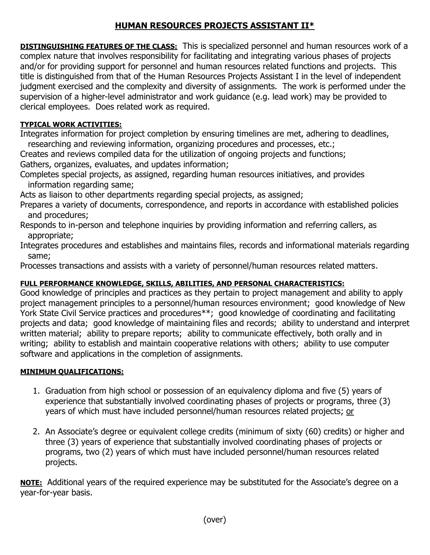## **HUMAN RESOURCES PROJECTS ASSISTANT II\***

**DISTINGUISHING FEATURES OF THE CLASS:** This is specialized personnel and human resources work of a complex nature that involves responsibility for facilitating and integrating various phases of projects and/or for providing support for personnel and human resources related functions and projects. This title is distinguished from that of the Human Resources Projects Assistant I in the level of independent judgment exercised and the complexity and diversity of assignments. The work is performed under the supervision of a higher-level administrator and work guidance (e.g. lead work) may be provided to clerical employees. Does related work as required.

## **TYPICAL WORK ACTIVITIES:**

Integrates information for project completion by ensuring timelines are met, adhering to deadlines, researching and reviewing information, organizing procedures and processes, etc.;

Creates and reviews compiled data for the utilization of ongoing projects and functions; Gathers, organizes, evaluates, and updates information;

Completes special projects, as assigned, regarding human resources initiatives, and provides information regarding same;

Acts as liaison to other departments regarding special projects, as assigned;

Prepares a variety of documents, correspondence, and reports in accordance with established policies and procedures;

Responds to in-person and telephone inquiries by providing information and referring callers, as appropriate;

Integrates procedures and establishes and maintains files, records and informational materials regarding same;

Processes transactions and assists with a variety of personnel/human resources related matters.

## **FULL PERFORMANCE KNOWLEDGE, SKILLS, ABILITIES, AND PERSONAL CHARACTERISTICS:**

Good knowledge of principles and practices as they pertain to project management and ability to apply project management principles to a personnel/human resources environment; good knowledge of New York State Civil Service practices and procedures\*\*; good knowledge of coordinating and facilitating projects and data; good knowledge of maintaining files and records; ability to understand and interpret written material; ability to prepare reports; ability to communicate effectively, both orally and in writing; ability to establish and maintain cooperative relations with others; ability to use computer software and applications in the completion of assignments.

## **MINIMUM QUALIFICATIONS:**

- 1. Graduation from high school or possession of an equivalency diploma and five (5) years of experience that substantially involved coordinating phases of projects or programs, three (3) years of which must have included personnel/human resources related projects; or
- 2. An Associate's degree or equivalent college credits (minimum of sixty (60) credits) or higher and three (3) years of experience that substantially involved coordinating phases of projects or programs, two (2) years of which must have included personnel/human resources related projects.

**NOTE:** Additional years of the required experience may be substituted for the Associate's degree on a year-for-year basis.